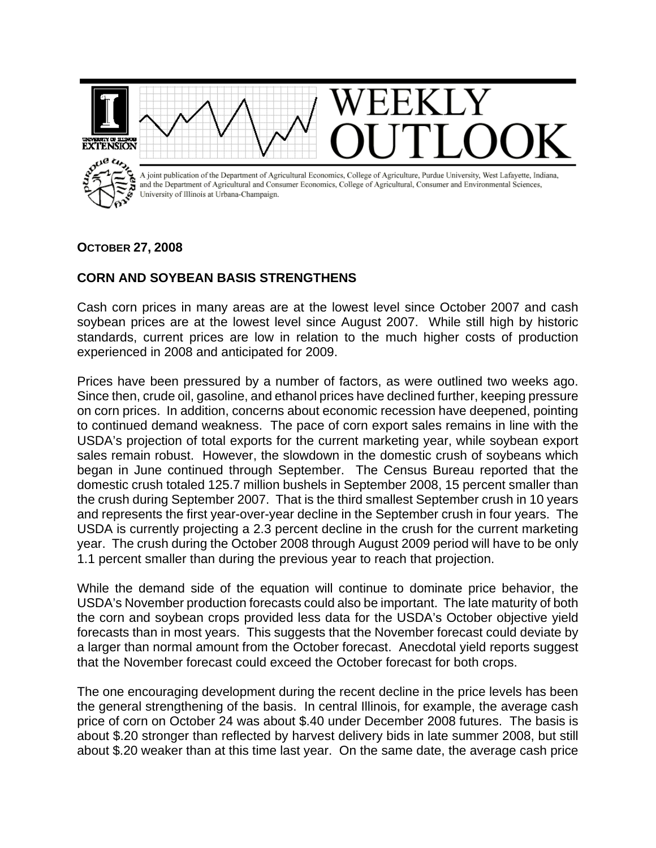

## **OCTOBER 27, 2008**

## **CORN AND SOYBEAN BASIS STRENGTHENS**

Cash corn prices in many areas are at the lowest level since October 2007 and cash soybean prices are at the lowest level since August 2007. While still high by historic standards, current prices are low in relation to the much higher costs of production experienced in 2008 and anticipated for 2009.

Prices have been pressured by a number of factors, as were outlined two weeks ago. Since then, crude oil, gasoline, and ethanol prices have declined further, keeping pressure on corn prices. In addition, concerns about economic recession have deepened, pointing to continued demand weakness. The pace of corn export sales remains in line with the USDA's projection of total exports for the current marketing year, while soybean export sales remain robust. However, the slowdown in the domestic crush of soybeans which began in June continued through September. The Census Bureau reported that the domestic crush totaled 125.7 million bushels in September 2008, 15 percent smaller than the crush during September 2007. That is the third smallest September crush in 10 years and represents the first year-over-year decline in the September crush in four years. The USDA is currently projecting a 2.3 percent decline in the crush for the current marketing year. The crush during the October 2008 through August 2009 period will have to be only 1.1 percent smaller than during the previous year to reach that projection.

While the demand side of the equation will continue to dominate price behavior, the USDA's November production forecasts could also be important. The late maturity of both the corn and soybean crops provided less data for the USDA's October objective yield forecasts than in most years. This suggests that the November forecast could deviate by a larger than normal amount from the October forecast. Anecdotal yield reports suggest that the November forecast could exceed the October forecast for both crops.

The one encouraging development during the recent decline in the price levels has been the general strengthening of the basis. In central Illinois, for example, the average cash price of corn on October 24 was about \$.40 under December 2008 futures. The basis is about \$.20 stronger than reflected by harvest delivery bids in late summer 2008, but still about \$.20 weaker than at this time last year. On the same date, the average cash price